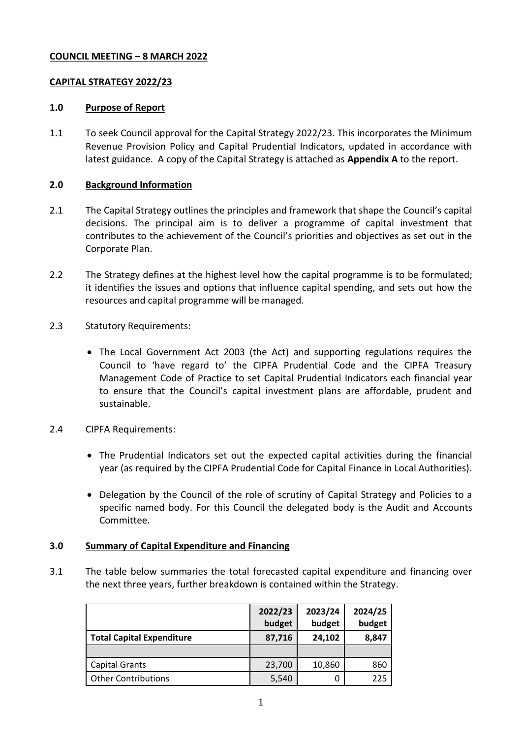# **COUNCIL MEETING – 8 MARCH 2022**

# **CAPITAL STRATEGY 2022/23**

# **1.0 Purpose of Report**

1.1 To seek Council approval for the Capital Strategy 2022/23. This incorporates the Minimum Revenue Provision Policy and Capital Prudential Indicators, updated in accordance with latest guidance. A copy of the Capital Strategy is attached as **Appendix A** to the report.

# **2.0 Background Information**

- 2.1 The Capital Strategy outlines the principles and framework that shape the Council's capital decisions. The principal aim is to deliver a programme of capital investment that contributes to the achievement of the Council's priorities and objectives as set out in the Corporate Plan.
- 2.2 The Strategy defines at the highest level how the capital programme is to be formulated; it identifies the issues and options that influence capital spending, and sets out how the resources and capital programme will be managed.
- 2.3 Statutory Requirements:
	- The Local Government Act 2003 (the Act) and supporting regulations requires the Council to 'have regard to' the CIPFA Prudential Code and the CIPFA Treasury Management Code of Practice to set Capital Prudential Indicators each financial year to ensure that the Council's capital investment plans are affordable, prudent and sustainable.
- 2.4 CIPFA Requirements:
	- The Prudential Indicators set out the expected capital activities during the financial year (as required by the CIPFA Prudential Code for Capital Finance in Local Authorities).
	- Delegation by the Council of the role of scrutiny of Capital Strategy and Policies to a specific named body. For this Council the delegated body is the Audit and Accounts Committee.

# **3.0 Summary of Capital Expenditure and Financing**

3.1 The table below summaries the total forecasted capital expenditure and financing over the next three years, further breakdown is contained within the Strategy.

|                                  | 2022/23<br>budget | 2023/24<br>budget | 2024/25<br>budget |
|----------------------------------|-------------------|-------------------|-------------------|
| <b>Total Capital Expenditure</b> | 87,716            | 24,102            | 8,847             |
|                                  |                   |                   |                   |
| <b>Capital Grants</b>            | 23,700            | 10,860            | 860               |
| <b>Other Contributions</b>       | 5,540             |                   | 225               |